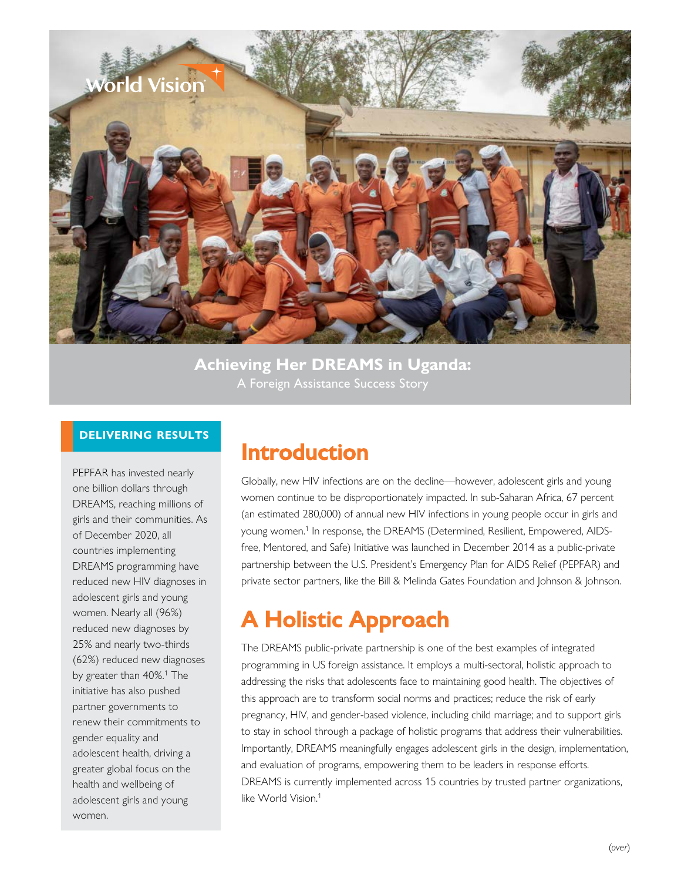

**Achieving Her DREAMS in Uganda:**  A Foreign Assistance Success Story

### **DELIVERING RESULTS**

PEPFAR has invested nearly one billion dollars through DREAMS, reaching millions of girls and their communities. As of December 2020, all countries implementing DREAMS programming have reduced new HIV diagnoses in adolescent girls and young women. Nearly all (96%) reduced new diagnoses by 25% and nearly two-thirds (62%) reduced new diagnoses by greater than 40%.<sup>1</sup> The initiative has also pushed partner governments to renew their commitments to gender equality and adolescent health, driving a greater global focus on the health and wellbeing of adolescent girls and young women.

## **Introduction**

Globally, new HIV infections are on the decline—however, adolescent girls and young women continue to be disproportionately impacted. In sub-Saharan Africa, 67 percent [\(an estimated 280,000\) of annual new HIV infections in young people occur in girls and](https://www.state.gov/pepfar-dreams-partnership/) young women.<sup>1</sup> In response, the DREAMS (Determined, Resilient, Empowered, AIDSfree, Mentored, and Safe) Initiative was launched in December 2014 as a public-private partnership between the U.S. President's Emergency Plan for AIDS Relief (PEPFAR) and private sector partners, like the Bill & Melinda Gates Foundation and Johnson & Johnson.

# **A Holistic Approach**

The DREAMS public-private partnership is one of the best examples of integrated programming in US foreign assistance. It employs a multi-sectoral, holistic approach to addressing the risks that adolescents face to maintaining good health. The objectives of this approach are to transform social norms and practices; reduce the risk of early pregnancy, HIV, and gender-based violence, including child marriage; and to support girls to stay in school through a package of holistic programs that address their vulnerabilities. Importantly, DREAMS meaningfully engages adolescent girls in the design, implementation, and evaluation of programs, empowering them to be leaders in response efforts. DREAMS is currently implemented across 15 countries by trusted partner organizations, [like World Vision.](https://www.state.gov/pepfar-dreams-partnership/)<sup>1</sup>